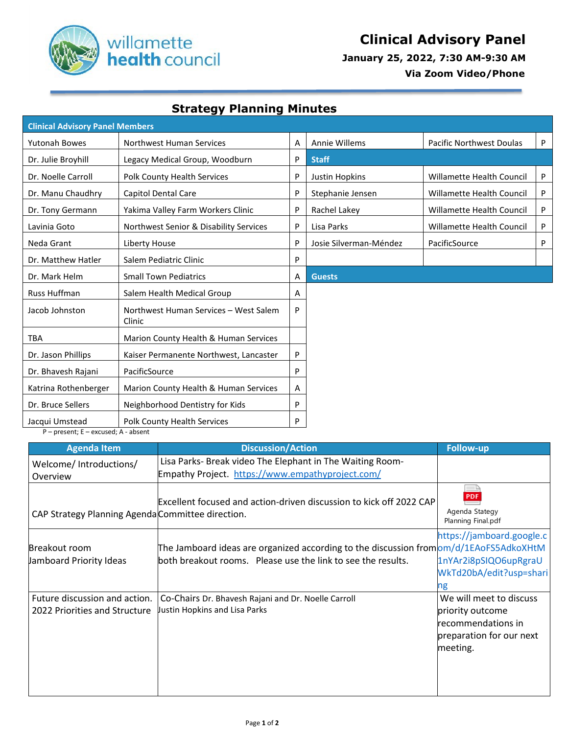

 **January 25, 2022, 7:30 AM-9:30 AM**

 **Via Zoom Video/Phone**

## **Strategy Planning Minutes**

| <b>Clinical Advisory Panel Members</b>                          |                                                 |   |                        |                                  |   |  |  |  |
|-----------------------------------------------------------------|-------------------------------------------------|---|------------------------|----------------------------------|---|--|--|--|
| <b>Yutonah Bowes</b>                                            | Northwest Human Services                        | Α | Annie Willems          | Pacific Northwest Doulas         | P |  |  |  |
| Dr. Julie Broyhill                                              | Legacy Medical Group, Woodburn                  | P | <b>Staff</b>           |                                  |   |  |  |  |
| Dr. Noelle Carroll                                              | Polk County Health Services                     | P | Justin Hopkins         | Willamette Health Council        | P |  |  |  |
| Dr. Manu Chaudhry                                               | Capitol Dental Care                             | P | Stephanie Jensen       | Willamette Health Council        | P |  |  |  |
| Dr. Tony Germann                                                | Yakima Valley Farm Workers Clinic               | P | Rachel Lakey           | <b>Willamette Health Council</b> | P |  |  |  |
| Lavinia Goto                                                    | Northwest Senior & Disability Services          | P | Lisa Parks             | <b>Willamette Health Council</b> | P |  |  |  |
| Neda Grant                                                      | Liberty House                                   | P | Josie Silverman-Méndez | PacificSource                    | P |  |  |  |
| Dr. Matthew Hatler                                              | Salem Pediatric Clinic                          | P |                        |                                  |   |  |  |  |
| Dr. Mark Helm                                                   | <b>Small Town Pediatrics</b>                    | Α | <b>Guests</b>          |                                  |   |  |  |  |
| Russ Huffman                                                    | Salem Health Medical Group                      | Α |                        |                                  |   |  |  |  |
| Jacob Johnston                                                  | Northwest Human Services - West Salem<br>Clinic | P |                        |                                  |   |  |  |  |
| <b>TBA</b>                                                      | Marion County Health & Human Services           |   |                        |                                  |   |  |  |  |
| Dr. Jason Phillips                                              | Kaiser Permanente Northwest, Lancaster          | P |                        |                                  |   |  |  |  |
| Dr. Bhavesh Rajani                                              | PacificSource                                   | P |                        |                                  |   |  |  |  |
| Katrina Rothenberger                                            | Marion County Health & Human Services           | Α |                        |                                  |   |  |  |  |
| Dr. Bruce Sellers                                               | Neighborhood Dentistry for Kids                 | P |                        |                                  |   |  |  |  |
| Jacqui Umstead<br>$D = n$ racant: $F = a$ vcucad: $A = a$ hcant | Polk County Health Services                     | P |                        |                                  |   |  |  |  |

present; E – excused; A - absent

| <b>Agenda Item</b>                                             | <b>Discussion/Action</b>                                                                                                                                                       | <b>Follow-up</b>                                                                                          |
|----------------------------------------------------------------|--------------------------------------------------------------------------------------------------------------------------------------------------------------------------------|-----------------------------------------------------------------------------------------------------------|
| Welcome/Introductions/<br>Overview                             | Lisa Parks- Break video The Elephant in The Waiting Room-<br>Empathy Project. https://www.empathyproject.com/                                                                  |                                                                                                           |
| CAP Strategy Planning Agenda Committee direction.              | Excellent focused and action-driven discussion to kick off 2022 CAP                                                                                                            | <b>PDF</b><br>Agenda Stategy<br>Planning Final.pdf                                                        |
| Breakout room<br>Jamboard Priority Ideas                       | The Jamboard ideas are organized according to the discussion from $\text{om}/\text{d}/\text{1E}$ AoFS5AdkoXHtM<br>both breakout rooms. Please use the link to see the results. | https://jamboard.google.c<br>1nYAr2i8pSIQO6upRgraU<br>WkTd20bA/edit?usp=shari<br>ng                       |
| Future discussion and action.<br>2022 Priorities and Structure | Co-Chairs Dr. Bhavesh Rajani and Dr. Noelle Carroll<br>Justin Hopkins and Lisa Parks                                                                                           | We will meet to discuss<br>priority outcome<br>recommendations in<br>preparation for our next<br>meeting. |